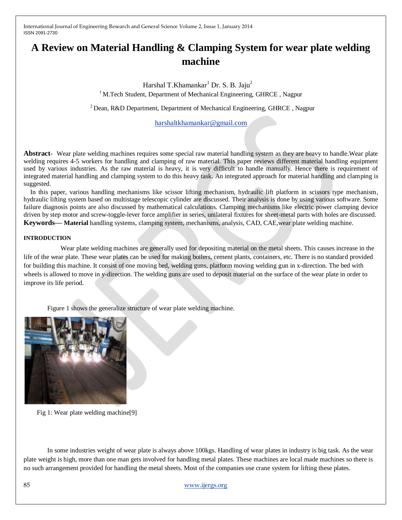# **A Review on Material Handling & Clamping System for wear plate welding machine**

Harshal T.Khamankar<sup>1</sup> Dr. S. B. Jaju<sup>2</sup>

<sup>1</sup> M.Tech Student, Department of Mechanical Engineering, GHRCE, Nagpur

 $2$  Dean, R&D Department, Department of Mechanical Engineering, GHRCE, Nagpur

[harshaltkhamankar@gmail.com](mailto:harshaltkhamankar@gmail.com)

**Abstract-** Wear plate welding machines requires some special raw material handling system as they are heavy to handle.Wear plate welding requires 4-5 workers for handling and clamping of raw material. This paper reviews different material handling equipment used by various industries. As the raw material is heavy, it is very difficult to handle manually. Hence there is requirement of integrated material handling and clamping system to do this heavy task. An integrated approach for material handling and clamping is suggested.

In this paper, various handling mechanisms like scissor lifting mechanism, hydraulic lift platform in scissors type mechanism, hydraulic lifting system based on multistage telescopic cylinder are discussed. Their analysis is done by using various software. Some failure diagnosis points are also discussed by mathematical calculations. Clamping mechanisms like electric power clamping device driven by step motor and screw-toggle-lever force amplifier in series, unilateral fixtures for sheet-metal parts with holes are discussed. **Keywords— Material** handling systems, clamping system, mechanisms, analysis, CAD, CAE,wear plate welding machine.

#### **INTRODUCTION**

 Wear plate welding machines are generally used for depositing material on the metal sheets. This causes increase in the life of the wear plate. These wear plates can be used for making boilers, cement plants, containers, etc. There is no standard provided for building this machine. It consist of one moving bed, welding guns, platform moving welding gun in x-direction. The bed with wheels is allowed to move in y-direction. The welding guns are used to deposit material on the surface of the wear plate in order to improve its life period.

Figure 1 shows the generalize structure of wear plate welding machine.



Fig 1: Wear plate welding machine[9]

In some industries weight of wear plate is always above 100kgs. Handling of wear plates in industry is big task. As the wear plate weight is high, more than one man gets involved for handling metal plates. These machines are local made machines so there is no such arrangement provided for handling the metal sheets. Most of the companies use crane system for lifting these plates.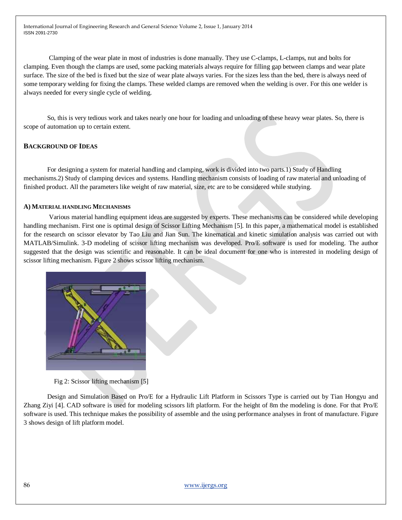Clamping of the wear plate in most of industries is done manually. They use C-clamps, L-clamps, nut and bolts for clamping. Even though the clamps are used, some packing materials always require for filling gap between clamps and wear plate surface. The size of the bed is fixed but the size of wear plate always varies. For the sizes less than the bed, there is always need of some temporary welding for fixing the clamps. These welded clamps are removed when the welding is over. For this one welder is always needed for every single cycle of welding.

So, this is very tedious work and takes nearly one hour for loading and unloading of these heavy wear plates. So, there is scope of automation up to certain extent.

## **BACKGROUND OF IDEAS**

For designing a system for material handling and clamping, work is divided into two parts.1) Study of Handling mechanisms.2) Study of clamping devices and systems. Handling mechanism consists of loading of raw material and unloading of finished product. All the parameters like weight of raw material, size, etc are to be considered while studying.

#### **A) MATERIAL HANDLING MECHANISMS**

Various material handling equipment ideas are suggested by experts. These mechanisms can be considered while developing handling mechanism. First one is optimal design of Scissor Lifting Mechanism [5]. In this paper, a mathematical model is established for the research on scissor elevator by Tao Liu and Jian Sun. The kinematical and kinetic simulation analysis was carried out with MATLAB/Simulink. 3-D modeling of scissor lifting mechanism was developed. Pro/E software is used for modeling. The author suggested that the design was scientific and reasonable. It can be ideal document for one who is interested in modeling design of scissor lifting mechanism. Figure 2 shows scissor lifting mechanism.



Fig 2: Scissor lifting mechanism [5]

Design and Simulation Based on Pro/E for a Hydraulic Lift Platform in Scissors Type is carried out by Tian Hongyu and Zhang Ziyi [4]. CAD software is used for modeling scissors lift platform. For the height of 8m the modeling is done. For that Pro/E software is used. This technique makes the possibility of assemble and the using performance analyses in front of manufacture. Figure 3 shows design of lift platform model.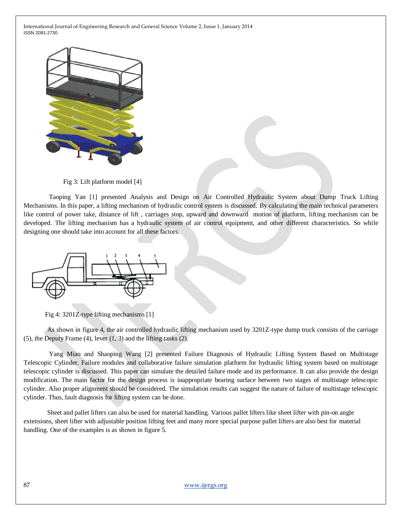

Fig 3: Lift platform model [4]

Taoping Yan [1] presented Analysis and Design on Air Controlled Hydraulic System about Dump Truck Lifting Mechanisms. In this paper, a lifting mechanism of hydraulic control system is discussed. By calculating the main technical parameters like control of power take, distance of lift , carriages stop, upward and downward motion of platform, lifting mechanism can be developed. The lifting mechanism has a hydraulic system of air control equipment, and other different characteristics. So while designing one should take into account for all these factors.



Fig 4: 3201Z-type lifting mechanisms [1]

As shown in figure 4, the air controlled hydraulic lifting mechanism used by 3201Z-type dump truck consists of the carriage (5), the Deputy Frame (4), lever (1, 3) and the lifting tanks (2).

Yang Miao and Shaoping Wang [2] presented Failure Diagnosis of Hydraulic Lifting System Based on Multistage Telescopic Cylinder. Failure modules and collaborative failure simulation platform for hydraulic lifting system based on multistage telescopic cylinder is discussed. This paper can simulate the detailed failure mode and its performance. It can also provide the design modification. The main factor for the design process is inappropriate bearing surface between two stages of multistage telescopic cylinder. Also proper alignment should be considered. The simulation results can suggest the nature of failure of multistage telescopic cylinder. Thus, fault diagnosis for lifting system can be done.

Sheet and pallet lifters can also be used for material handling. Various pallet lifters like sheet lifter with pin-on angle extensions, sheet lifter with adjustable position lifting feet and many more special purpose pallet lifters are also best for material handling. One of the examples is as shown in figure 5.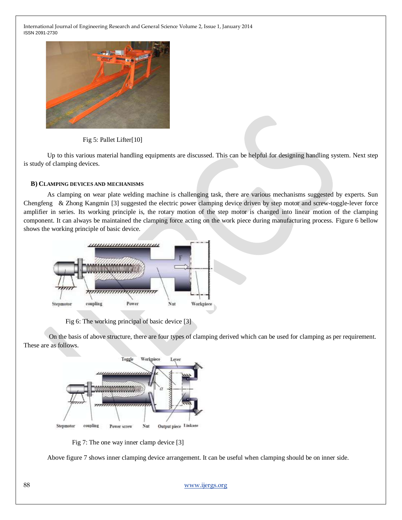

Fig 5: Pallet Lifter[10]

Up to this various material handling equipments are discussed. This can be helpful for designing handling system. Next step is study of clamping devices.

#### **B) CLAMPING DEVICES AND MECHANISMS**

As clamping on wear plate welding machine is challenging task, there are various mechanisms suggested by experts. Sun Chengfeng & Zhong Kangmin [3] suggested the electric power clamping device driven by step motor and screw-toggle-lever force amplifier in series. Its working principle is, the rotary motion of the step motor is changed into linear motion of the clamping component. It can always be maintained the clamping force acting on the work piece during manufacturing process. Figure 6 bellow shows the working principle of basic device.



Fig 6: The working principal of basic device [3]

On the basis of above structure, there are four types of clamping derived which can be used for clamping as per requirement. These are as follows.



Fig 7: The one way inner clamp device [3]

Above figure 7 shows inner clamping device arrangement. It can be useful when clamping should be on inner side.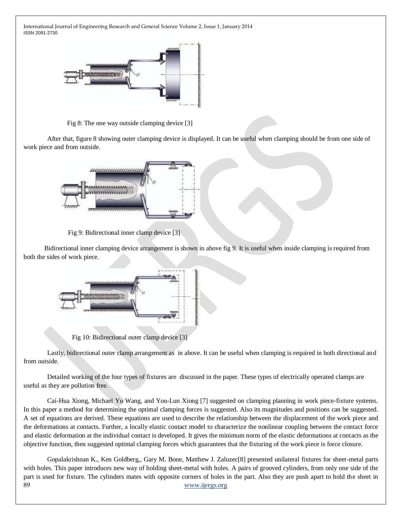

Fig 8: The one way outside clamping device [3]

After that, figure 8 showing outer clamping device is displayed. It can be useful when clamping should be from one side of work piece and from outside.



Fig 9: Bidirectional inner clamp device [3]

Bidirectional inner clamping device arrangement is shown in above fig 9. It is useful when inside clamping is required from both the sides of work piece.



Fig 10: Bidirectional outer clamp device [3]

Lastly, bidirectional outer clamp arrangement as in above. It can be useful when clamping is required in both directional and from outside.

Detailed working of the four types of fixtures are discussed in the paper. These types of electrically operated clamps are useful as they are pollution free.

Cai-Hua Xiong, Michael Yu Wang, and You-Lun Xiong [7] suggested on clamping planning in work piece-fixture systems. In this paper a method for determining the optimal clamping forces is suggested. Also its magnitudes and positions can be suggested. A set of equations are derived. These equations are used to describe the relationship between the displacement of the work piece and the deformations at contacts. Further, a locally elastic contact model to characterize the nonlinear coupling between the contact force and elastic deformation at the individual contact is developed. It gives the minimum norm of the elastic deformations at contacts as the objective function, then suggested optimal clamping forces which guarantees that the fixturing of the work piece is force closure.

89 [www.ijergs.org](http://www.ijergs.org/) Gopalakrishnan K., Ken Goldberg,, Gary M. Bone, Matthew J. Zaluzec[8] presented unilateral fixtures for sheet-metal parts with holes. This paper introduces new way of holding sheet-metal with holes. A pairs of grooved cylinders, from only one side of the part is used for fixture. The cylinders mates with opposite corners of holes in the part. Also they are push apart to hold the sheet in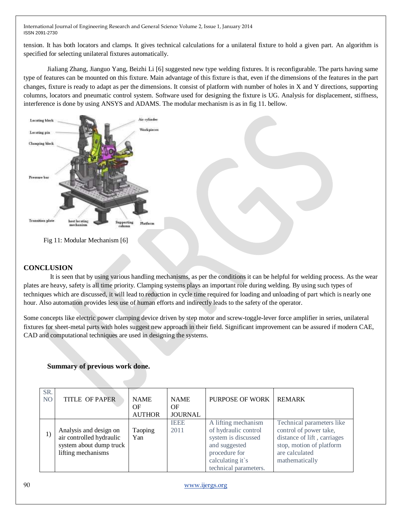tension. It has both locators and clamps. It gives technical calculations for a unilateral fixture to hold a given part. An algorithm is specified for selecting unilateral fixtures automatically.

Jialiang Zhang, Jianguo Yang, Beizhi Li [6] suggested new type welding fixtures. It is reconfigurable. The parts having same type of features can be mounted on this fixture. Main advantage of this fixture is that, even if the dimensions of the features in the part changes, fixture is ready to adapt as per the dimensions. It consist of platform with number of holes in X and Y directions, supporting columns, locators and pneumatic control system. Software used for designing the fixture is UG. Analysis for displacement, stiffness, interference is done by using ANSYS and ADAMS. The modular mechanism is as in fig 11. bellow.





## **CONCLUSION**

 It is seen that by using various handling mechanisms, as per the conditions it can be helpful for welding process. As the wear plates are heavy, safety is all time priority. Clamping systems plays an important role during welding. By using such types of techniques which are discussed, it will lead to reduction in cycle time required for loading and unloading of part which is nearly one hour. Also automation provides less use of human efforts and indirectly leads to the safety of the operator.

Some concepts like electric power clamping device driven by step motor and screw-toggle-lever force amplifier in series, unilateral fixtures for sheet-metal parts with holes suggest new approach in their field. Significant improvement can be assured if modern CAE, CAD and computational techniques are used in designing the systems.

# **Summary of previous work done.**

| SR.<br>NO. | <b>TITLE OF PAPER</b>                                                                               | <b>NAME</b><br>ΟF<br><b>AUTHOR</b> | <b>NAME</b><br>OF<br><b>JOURNAL</b> | PURPOSE OF WORK                                                                                                                                   | <b>REMARK</b>                                                                                                                                      |
|------------|-----------------------------------------------------------------------------------------------------|------------------------------------|-------------------------------------|---------------------------------------------------------------------------------------------------------------------------------------------------|----------------------------------------------------------------------------------------------------------------------------------------------------|
| 1)         | Analysis and design on<br>air controlled hydraulic<br>system about dump truck<br>lifting mechanisms | Taoping<br>Yan                     | <b>IEEE</b><br>2011                 | A lifting mechanism<br>of hydraulic control<br>system is discussed<br>and suggested<br>procedure for<br>calculating it's<br>technical parameters. | Technical parameters like<br>control of power take,<br>distance of lift, carriages<br>stop, motion of platform<br>are calculated<br>mathematically |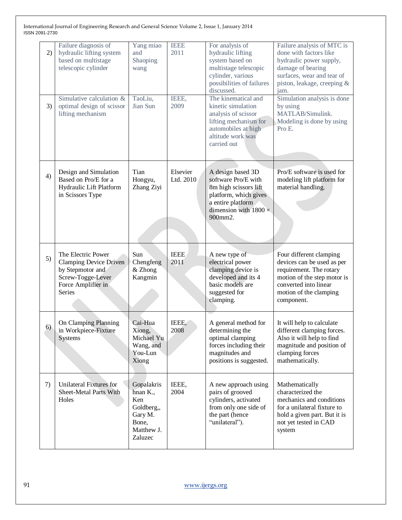| 2) | Failure diagnosis of<br>hydraulic lifting system<br>based on multistage<br>telescopic cylinder                               | Yang miao<br>and<br>Shaoping<br>wang         | <b>IEEE</b><br>2011   | For analysis of<br>hydraulic lifting<br>system based on<br>multistage telescopic<br>cylinder, various<br>possibilities of failures<br>discussed.           | Failure analysis of MTC is<br>done with factors like<br>hydraulic power supply,<br>damage of bearing<br>surfaces, wear and tear of<br>piston, leakage, creeping &<br>jam.        |
|----|------------------------------------------------------------------------------------------------------------------------------|----------------------------------------------|-----------------------|------------------------------------------------------------------------------------------------------------------------------------------------------------|----------------------------------------------------------------------------------------------------------------------------------------------------------------------------------|
| 3) | Simulative calculation &<br>optimal design of scissor<br>lifting mechanism                                                   | TaoLiu,<br>Jian Sun                          | IEEE,<br>2009         | The kinematical and<br>kinetic simulation<br>analysis of scissor<br>lifting mechanism for<br>automobiles at high<br>altitude work was<br>carried out       | Simulation analysis is done<br>by using<br>MATLAB/Simulink.<br>Modeling is done by using<br>Pro E.                                                                               |
| 4) | Design and Simulation<br>Based on Pro/E for a<br>Hydraulic Lift Platform<br>in Scissors Type                                 | Tian<br>Hongyu,<br>Zhang Ziyi                | Elsevier<br>Ltd. 2010 | A design based 3D<br>software Pro/E with<br>8m high scissors lift<br>platform, which gives<br>a entire platform<br>dimension with $1800 \times$<br>900mm2. | Pro/E software is used for<br>modeling lift platform for<br>material handling.                                                                                                   |
| 5) | The Electric Power<br><b>Clamping Device Driven</b><br>by Stepmotor and<br>Screw-Togge-Lever<br>Force Amplifier in<br>Series | Sun<br>Chengfeng<br>& Zhong<br>Kangmin       | <b>IEEE</b><br>2011   | A new type of<br>electrical power<br>clamping device is<br>developed and its 4<br>basic models are<br>suggested for<br>clamping.                           | Four different clamping<br>devices can be used as per<br>requirement. The rotary<br>motion of the step motor is<br>converted into linear<br>motion of the clamping<br>component. |
| 6) | On Clamping Planning<br>in Workpiece-Fixture<br>Systems                                                                      | Cai-Hua<br>Xiong,<br>Michael Yu<br>Wang, and | IEEE,<br>2008         | A general method for<br>determining the<br>optimal clamping<br>forces including their                                                                      | It will help to calculate<br>different clamping forces.<br>Also it will help to find<br>magnitude and position of                                                                |
|    |                                                                                                                              | You-Lun<br>Xiong                             |                       | magnitudes and<br>positions is suggested.                                                                                                                  | clamping forces<br>mathematically.                                                                                                                                               |